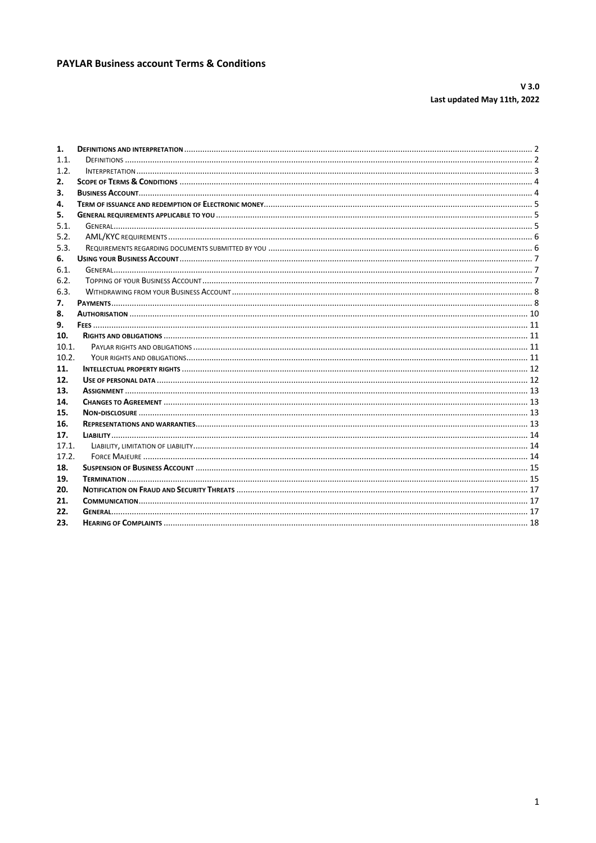# **PAYLAR Business account Terms & Conditions**

# $V3.0$ Last updated May 11th, 2022

| 1.    |  |
|-------|--|
| 1.1.  |  |
| 1.2.  |  |
| 2.    |  |
| 3.    |  |
| 4.    |  |
| 5.    |  |
| 5.1.  |  |
| 5.2.  |  |
| 5.3.  |  |
| 6.    |  |
| 6.1.  |  |
| 6.2.  |  |
| 6.3.  |  |
| 7.    |  |
| 8.    |  |
| 9.    |  |
| 10.   |  |
| 10.1. |  |
| 10.2. |  |
| 11.   |  |
| 12.   |  |
| 13.   |  |
| 14.   |  |
| 15.   |  |
| 16.   |  |
| 17.   |  |
| 17.1. |  |
| 17.2. |  |
| 18.   |  |
| 19.   |  |
| 20.   |  |
| 21.   |  |
| 22.   |  |
| 23.   |  |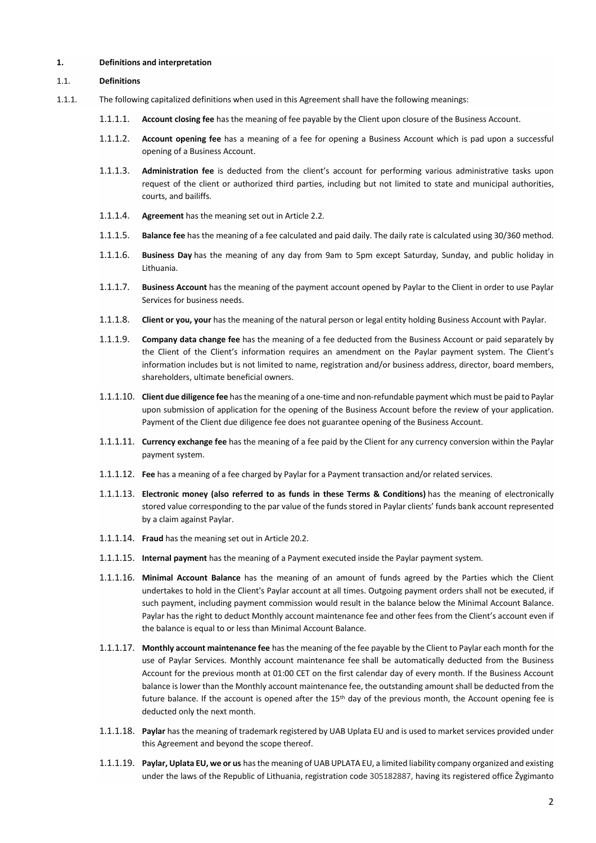#### **1. Definitions and interpretation**

#### 1.1. **Definitions**

- 1.1.1. The following capitalized definitions when used in this Agreement shall have the following meanings:
	- 1.1.1.1. **Account closing fee** has the meaning of fee payable by the Client upon closure of the Business Account.
	- 1.1.1.2. **Account opening fee** has a meaning of a fee for opening a Business Account which is pad upon a successful opening of a Business Account.
	- 1.1.1.3. **Administration fee** is deducted from the client's account for performing various administrative tasks upon request of the client or authorized third parties, including but not limited to state and municipal authorities, courts, and bailiffs.
	- 1.1.1.4. **Agreement** has the meaning set out in Article 2.2.
	- 1.1.1.5. **Balance fee** has the meaning of a fee calculated and paid daily. The daily rate is calculated using 30/360 method.
	- 1.1.1.6. **Business Day** has the meaning of any day from 9am to 5pm except Saturday, Sunday, and public holiday in Lithuania.
	- 1.1.1.7. **Business Account** has the meaning of the payment account opened by Paylar to the Client in order to use Paylar Services for business needs.
	- 1.1.1.8. **Client or you, your** has the meaning of the natural person or legal entity holding Business Account with Paylar.
	- 1.1.1.9. **Company data change fee** has the meaning of a fee deducted from the Business Account or paid separately by the Client of the Client's information requires an amendment on the Paylar payment system. The Client's information includes but is not limited to name, registration and/or business address, director, board members, shareholders, ultimate beneficial owners.
	- 1.1.1.10. **Client due diligence fee** hasthe meaning of a one-time and non-refundable payment which must be paid to Paylar upon submission of application for the opening of the Business Account before the review of your application. Payment of the Client due diligence fee does not guarantee opening of the Business Account.
	- 1.1.1.11. **Currency exchange fee** has the meaning of a fee paid by the Client for any currency conversion within the Paylar payment system.
	- 1.1.1.12. **Fee** has a meaning of a fee charged by Paylar for a Payment transaction and/or related services.
	- 1.1.1.13. **Electronic money (also referred to as funds in these Terms & Conditions)** has the meaning of electronically stored value corresponding to the par value of the funds stored in Paylar clients' funds bank account represented by a claim against Paylar.
	- 1.1.1.14. **Fraud** has the meaning set out in Article 20.2.
	- 1.1.1.15. **Internal payment** has the meaning of a Payment executed inside the Paylar payment system.
	- 1.1.1.16. **Minimal Account Balance** has the meaning of an amount of funds agreed by the Parties which the Client undertakes to hold in the Client's Paylar account at all times. Outgoing payment orders shall not be executed, if such payment, including payment commission would result in the balance below the Minimal Account Balance. Paylar has the right to deduct Monthly account maintenance fee and other fees from the Client's account even if the balance is equal to or less than Minimal Account Balance.
	- 1.1.1.17. **Monthly account maintenance fee** has the meaning of the fee payable by the Client to Paylar each month for the use of Paylar Services. Monthly account maintenance fee shall be automatically deducted from the Business Account for the previous month at 01:00 CET on the first calendar day of every month. If the Business Account balance is lower than the Monthly account maintenance fee, the outstanding amount shall be deducted from the future balance. If the account is opened after the 15th day of the previous month, the Account opening fee is deducted only the next month.
	- 1.1.1.18. **Paylar** has the meaning of trademark registered by UAB Uplata EU and is used to market services provided under this Agreement and beyond the scope thereof.
	- 1.1.1.19. **Paylar, Uplata EU, we or us** has the meaning of UAB UPLATA EU, a limited liability company organized and existing under the laws of the Republic of Lithuania, registration code 305182887, having its registered office Žygimanto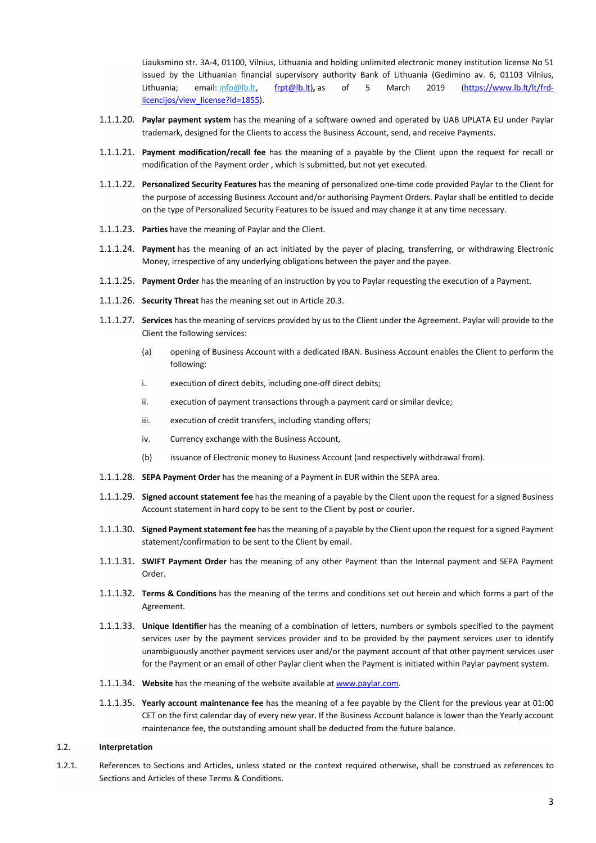Liauksmino str. 3A-4, 01100, Vilnius, Lithuania and holding unlimited electronic money institution license No 51 issued by the Lithuanian financial supervisory authority Bank of Lithuania (Gedimino av. 6, 01103 Vilnius, Lithuania; email: info@lb.lt, frpt@lb.lt), as of 5 March 2019 (https://www.lb.lt/lt/frdlicencijos/view\_license?id=1855).

- 1.1.1.20. **Paylar payment system** has the meaning of a software owned and operated by UAB UPLATA EU under Paylar trademark, designed for the Clients to access the Business Account, send, and receive Payments.
- 1.1.1.21. **Payment modification/recall fee** has the meaning of a payable by the Client upon the request for recall or modification of the Payment order , which is submitted, but not yet executed.
- 1.1.1.22. **Personalized Security Features** has the meaning of personalized one-time code provided Paylar to the Client for the purpose of accessing Business Account and/or authorising Payment Orders. Paylar shall be entitled to decide on the type of Personalized Security Features to be issued and may change it at any time necessary.
- 1.1.1.23. **Parties** have the meaning of Paylar and the Client.
- 1.1.1.24. **Payment** has the meaning of an act initiated by the payer of placing, transferring, or withdrawing Electronic Money, irrespective of any underlying obligations between the payer and the payee.
- 1.1.1.25. **Payment Order** has the meaning of an instruction by you to Paylar requesting the execution of a Payment.
- 1.1.1.26. **Security Threat** has the meaning set out in Article 20.3.
- 1.1.1.27. **Services** has the meaning of services provided by us to the Client under the Agreement. Paylar will provide to the Client the following services:
	- (a) opening of Business Account with a dedicated IBAN. Business Account enables the Client to perform the following:
	- i. execution of direct debits, including one-off direct debits;
	- ii. execution of payment transactions through a payment card or similar device;
	- iii. execution of credit transfers, including standing offers;
	- iv. Currency exchange with the Business Account,
	- (b) issuance of Electronic money to Business Account (and respectively withdrawal from).
- 1.1.1.28. **SEPA Payment Order** has the meaning of a Payment in EUR within the SEPA area.
- 1.1.1.29. **Signed account statement fee** has the meaning of a payable by the Client upon the request for a signed Business Account statement in hard copy to be sent to the Client by post or courier.
- 1.1.1.30. **Signed Paymentstatement fee** hasthe meaning of a payable by the Client upon the request for a signed Payment statement/confirmation to be sent to the Client by email.
- 1.1.1.31. **SWIFT Payment Order** has the meaning of any other Payment than the Internal payment and SEPA Payment Order.
- 1.1.1.32. **Terms & Conditions** has the meaning of the terms and conditions set out herein and which forms a part of the Agreement.
- 1.1.1.33. **Unique Identifier** has the meaning of a combination of letters, numbers or symbols specified to the payment services user by the payment services provider and to be provided by the payment services user to identify unambiguously another payment services user and/or the payment account of that other payment services user for the Payment or an email of other Paylar client when the Payment is initiated within Paylar payment system.
- 1.1.1.34. **Website** has the meaning of the website available at www.paylar.com.
- 1.1.1.35. **Yearly account maintenance fee** has the meaning of a fee payable by the Client for the previous year at 01:00 CET on the first calendar day of every new year. If the Business Account balance is lower than the Yearly account maintenance fee, the outstanding amount shall be deducted from the future balance.

#### 1.2. **Interpretation**

1.2.1. References to Sections and Articles, unless stated or the context required otherwise, shall be construed as references to Sections and Articles of these Terms & Conditions.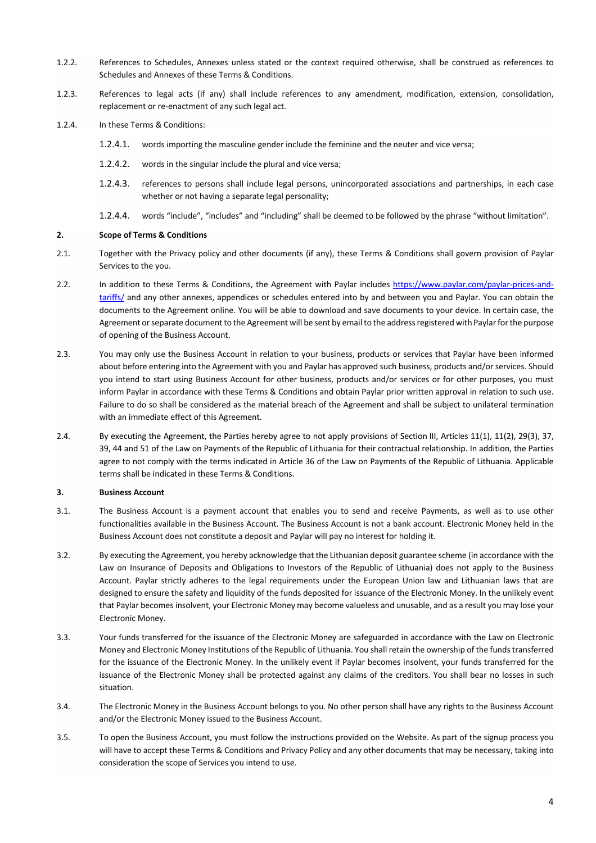- 1.2.2. References to Schedules, Annexes unless stated or the context required otherwise, shall be construed as references to Schedules and Annexes of these Terms & Conditions.
- 1.2.3. References to legal acts (if any) shall include references to any amendment, modification, extension, consolidation, replacement or re-enactment of any such legal act.
- 1.2.4. In these Terms & Conditions:
	- 1.2.4.1. words importing the masculine gender include the feminine and the neuter and vice versa;
	- 1.2.4.2. words in the singular include the plural and vice versa;
	- 1.2.4.3. references to persons shall include legal persons, unincorporated associations and partnerships, in each case whether or not having a separate legal personality;
	- 1.2.4.4. words "include", "includes" and "including" shall be deemed to be followed by the phrase "without limitation".

### **2. Scope of Terms & Conditions**

- 2.1. Together with the Privacy policy and other documents (if any), these Terms & Conditions shall govern provision of Paylar Services to the you.
- 2.2. In addition to these Terms & Conditions, the Agreement with Paylar includes https://www.paylar.com/paylar-prices-andtariffs/ and any other annexes, appendices or schedules entered into by and between you and Paylar. You can obtain the documents to the Agreement online. You will be able to download and save documents to your device. In certain case, the Agreement or separate document to the Agreement will be sent by email to the address registered with Paylar for the purpose of opening of the Business Account.
- 2.3. You may only use the Business Account in relation to your business, products or services that Paylar have been informed about before entering into the Agreement with you and Paylar has approved such business, products and/or services. Should you intend to start using Business Account for other business, products and/or services or for other purposes, you must inform Paylar in accordance with these Terms & Conditions and obtain Paylar prior written approval in relation to such use. Failure to do so shall be considered as the material breach of the Agreement and shall be subject to unilateral termination with an immediate effect of this Agreement.
- 2.4. By executing the Agreement, the Parties hereby agree to not apply provisions of Section III, Articles 11(1), 11(2), 29(3), 37, 39, 44 and 51 of the Law on Payments of the Republic of Lithuania for their contractual relationship. In addition, the Parties agree to not comply with the terms indicated in Article 36 of the Law on Payments of the Republic of Lithuania. Applicable terms shall be indicated in these Terms & Conditions.

#### **3. Business Account**

- 3.1. The Business Account is a payment account that enables you to send and receive Payments, as well as to use other functionalities available in the Business Account. The Business Account is not a bank account. Electronic Money held in the Business Account does not constitute a deposit and Paylar will pay no interest for holding it.
- 3.2. By executing the Agreement, you hereby acknowledge that the Lithuanian deposit guarantee scheme (in accordance with the Law on Insurance of Deposits and Obligations to Investors of the Republic of Lithuania) does not apply to the Business Account. Paylar strictly adheres to the legal requirements under the European Union law and Lithuanian laws that are designed to ensure the safety and liquidity of the funds deposited for issuance of the Electronic Money. In the unlikely event that Paylar becomes insolvent, your Electronic Money may become valueless and unusable, and as a result you may lose your Electronic Money.
- 3.3. Your funds transferred for the issuance of the Electronic Money are safeguarded in accordance with the Law on Electronic Money and Electronic Money Institutions of the Republic of Lithuania. You shall retain the ownership of the funds transferred for the issuance of the Electronic Money. In the unlikely event if Paylar becomes insolvent, your funds transferred for the issuance of the Electronic Money shall be protected against any claims of the creditors. You shall bear no losses in such situation.
- 3.4. The Electronic Money in the Business Account belongs to you. No other person shall have any rights to the Business Account and/or the Electronic Money issued to the Business Account.
- 3.5. To open the Business Account, you must follow the instructions provided on the Website. As part of the signup process you will have to accept these Terms & Conditions and Privacy Policy and any other documents that may be necessary, taking into consideration the scope of Services you intend to use.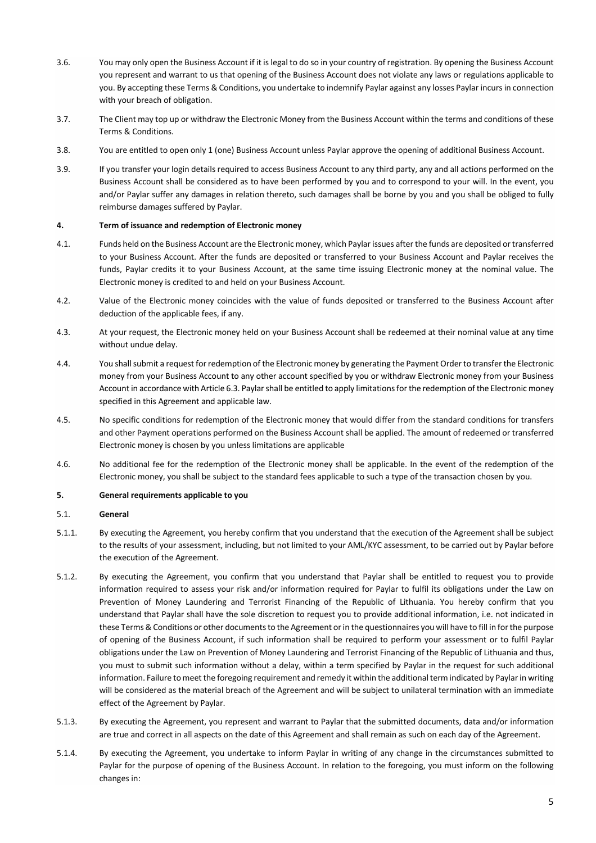- 3.6. You may only open the Business Account if it is legal to do so in your country of registration. By opening the Business Account you represent and warrant to us that opening of the Business Account does not violate any laws or regulations applicable to you. By accepting these Terms & Conditions, you undertake to indemnify Paylar against any losses Paylar incurs in connection with your breach of obligation.
- 3.7. The Client may top up or withdraw the Electronic Money from the Business Account within the terms and conditions of these Terms & Conditions.
- 3.8. You are entitled to open only 1 (one) Business Account unless Paylar approve the opening of additional Business Account.
- 3.9. If you transfer your login details required to access Business Account to any third party, any and all actions performed on the Business Account shall be considered as to have been performed by you and to correspond to your will. In the event, you and/or Paylar suffer any damages in relation thereto, such damages shall be borne by you and you shall be obliged to fully reimburse damages suffered by Paylar.

#### **4. Term of issuance and redemption of Electronic money**

- 4.1. Funds held on the Business Account are the Electronic money, which Paylarissues after the funds are deposited or transferred to your Business Account. After the funds are deposited or transferred to your Business Account and Paylar receives the funds, Paylar credits it to your Business Account, at the same time issuing Electronic money at the nominal value. The Electronic money is credited to and held on your Business Account.
- 4.2. Value of the Electronic money coincides with the value of funds deposited or transferred to the Business Account after deduction of the applicable fees, if any.
- 4.3. At your request, the Electronic money held on your Business Account shall be redeemed at their nominal value at any time without undue delay.
- 4.4. You shall submit a request for redemption of the Electronic money by generating the Payment Order to transfer the Electronic money from your Business Account to any other account specified by you or withdraw Electronic money from your Business Account in accordance with Article 6.3. Paylarshall be entitled to apply limitations for the redemption of the Electronic money specified in this Agreement and applicable law.
- 4.5. No specific conditions for redemption of the Electronic money that would differ from the standard conditions for transfers and other Payment operations performed on the Business Account shall be applied. The amount of redeemed or transferred Electronic money is chosen by you unless limitations are applicable
- 4.6. No additional fee for the redemption of the Electronic money shall be applicable. In the event of the redemption of the Electronic money, you shall be subject to the standard fees applicable to such a type of the transaction chosen by you.

#### **5. General requirements applicable to you**

#### 5.1. **General**

- 5.1.1. By executing the Agreement, you hereby confirm that you understand that the execution of the Agreement shall be subject to the results of your assessment, including, but not limited to your AML/KYC assessment, to be carried out by Paylar before the execution of the Agreement.
- 5.1.2. By executing the Agreement, you confirm that you understand that Paylar shall be entitled to request you to provide information required to assess your risk and/or information required for Paylar to fulfil its obligations under the Law on Prevention of Money Laundering and Terrorist Financing of the Republic of Lithuania. You hereby confirm that you understand that Paylar shall have the sole discretion to request you to provide additional information, i.e. not indicated in these Terms & Conditions or other documents to the Agreement or in the questionnaires you will have to fill in for the purpose of opening of the Business Account, if such information shall be required to perform your assessment or to fulfil Paylar obligations under the Law on Prevention of Money Laundering and Terrorist Financing of the Republic of Lithuania and thus, you must to submit such information without a delay, within a term specified by Paylar in the request for such additional information. Failure to meet the foregoing requirement and remedy it within the additional term indicated by Paylar in writing will be considered as the material breach of the Agreement and will be subject to unilateral termination with an immediate effect of the Agreement by Paylar.
- 5.1.3. By executing the Agreement, you represent and warrant to Paylar that the submitted documents, data and/or information are true and correct in all aspects on the date of this Agreement and shall remain as such on each day of the Agreement.
- 5.1.4. By executing the Agreement, you undertake to inform Paylar in writing of any change in the circumstances submitted to Paylar for the purpose of opening of the Business Account. In relation to the foregoing, you must inform on the following changes in: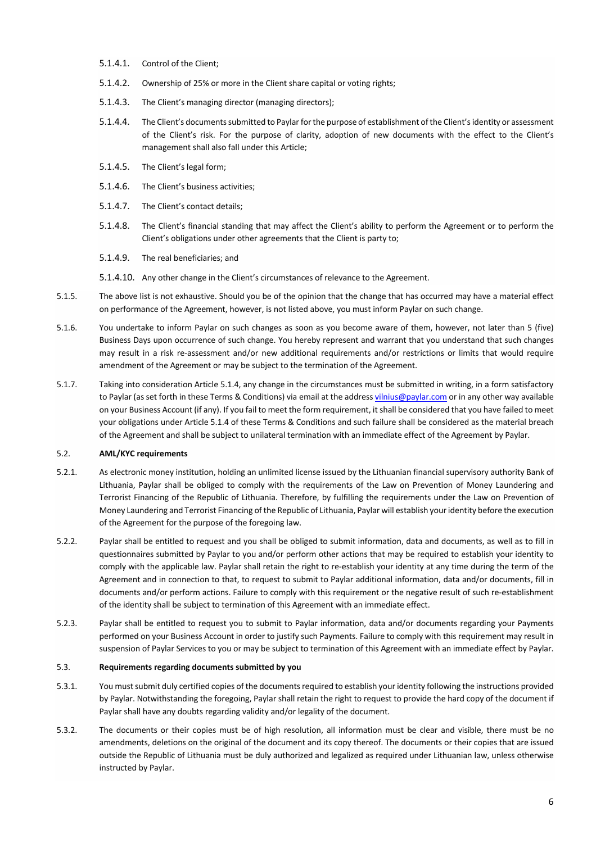- 5.1.4.1. Control of the Client;
- 5.1.4.2. Ownership of 25% or more in the Client share capital or voting rights;
- 5.1.4.3. The Client's managing director (managing directors);
- 5.1.4.4. The Client's documents submitted to Paylarfor the purpose of establishment of the Client's identity or assessment of the Client's risk. For the purpose of clarity, adoption of new documents with the effect to the Client's management shall also fall under this Article;
- 5.1.4.5. The Client's legal form;
- 5.1.4.6. The Client's business activities;
- 5.1.4.7. The Client's contact details;
- 5.1.4.8. The Client's financial standing that may affect the Client's ability to perform the Agreement or to perform the Client's obligations under other agreements that the Client is party to;
- 5.1.4.9. The real beneficiaries; and
- 5.1.4.10. Any other change in the Client's circumstances of relevance to the Agreement.
- 5.1.5. The above list is not exhaustive. Should you be of the opinion that the change that has occurred may have a material effect on performance of the Agreement, however, is not listed above, you must inform Paylar on such change.
- 5.1.6. You undertake to inform Paylar on such changes as soon as you become aware of them, however, not later than 5 (five) Business Days upon occurrence of such change. You hereby represent and warrant that you understand that such changes may result in a risk re-assessment and/or new additional requirements and/or restrictions or limits that would require amendment of the Agreement or may be subject to the termination of the Agreement.
- 5.1.7. Taking into consideration Article 5.1.4, any change in the circumstances must be submitted in writing, in a form satisfactory to Paylar (as set forth in these Terms & Conditions) via email at the address vilnius@paylar.com or in any other way available on your Business Account (if any). If you fail to meet the form requirement, it shall be considered that you have failed to meet your obligations under Article 5.1.4 of these Terms & Conditions and such failure shall be considered as the material breach of the Agreement and shall be subject to unilateral termination with an immediate effect of the Agreement by Paylar.

## 5.2. **AML/KYC requirements**

- 5.2.1. As electronic money institution, holding an unlimited license issued by the Lithuanian financial supervisory authority Bank of Lithuania, Paylar shall be obliged to comply with the requirements of the Law on Prevention of Money Laundering and Terrorist Financing of the Republic of Lithuania. Therefore, by fulfilling the requirements under the Law on Prevention of Money Laundering and Terrorist Financing of the Republic of Lithuania, Paylar will establish your identity before the execution of the Agreement for the purpose of the foregoing law.
- 5.2.2. Paylar shall be entitled to request and you shall be obliged to submit information, data and documents, as well as to fill in questionnaires submitted by Paylar to you and/or perform other actions that may be required to establish your identity to comply with the applicable law. Paylar shall retain the right to re-establish your identity at any time during the term of the Agreement and in connection to that, to request to submit to Paylar additional information, data and/or documents, fill in documents and/or perform actions. Failure to comply with this requirement or the negative result of such re-establishment of the identity shall be subject to termination of this Agreement with an immediate effect.
- 5.2.3. Paylar shall be entitled to request you to submit to Paylar information, data and/or documents regarding your Payments performed on your Business Account in order to justify such Payments. Failure to comply with this requirement may result in suspension of Paylar Services to you or may be subject to termination of this Agreement with an immediate effect by Paylar.

#### 5.3. **Requirements regarding documents submitted by you**

- 5.3.1. You must submit duly certified copies of the documents required to establish your identity following the instructions provided by Paylar. Notwithstanding the foregoing, Paylar shall retain the right to request to provide the hard copy of the document if Paylar shall have any doubts regarding validity and/or legality of the document.
- 5.3.2. The documents or their copies must be of high resolution, all information must be clear and visible, there must be no amendments, deletions on the original of the document and its copy thereof. The documents or their copies that are issued outside the Republic of Lithuania must be duly authorized and legalized as required under Lithuanian law, unless otherwise instructed by Paylar.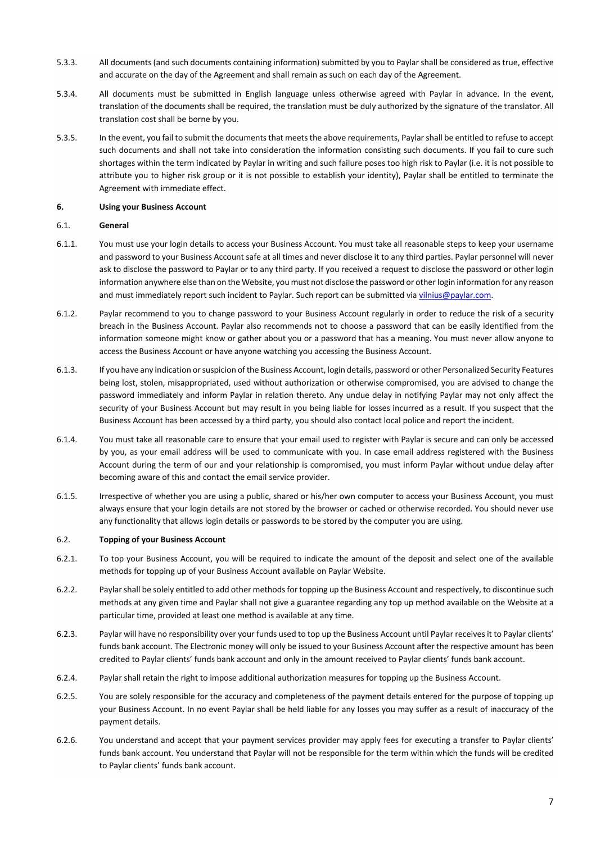- 5.3.3. All documents (and such documents containing information) submitted by you to Paylarshall be considered as true, effective and accurate on the day of the Agreement and shall remain as such on each day of the Agreement.
- 5.3.4. All documents must be submitted in English language unless otherwise agreed with Paylar in advance. In the event, translation of the documents shall be required, the translation must be duly authorized by the signature of the translator. All translation cost shall be borne by you.
- 5.3.5. In the event, you fail to submit the documents that meets the above requirements, Paylarshall be entitled to refuse to accept such documents and shall not take into consideration the information consisting such documents. If you fail to cure such shortages within the term indicated by Paylar in writing and such failure poses too high risk to Paylar (i.e. it is not possible to attribute you to higher risk group or it is not possible to establish your identity), Paylar shall be entitled to terminate the Agreement with immediate effect.

### **6. Using your Business Account**

### 6.1. **General**

- 6.1.1. You must use your login details to access your Business Account. You must take all reasonable steps to keep your username and password to your Business Account safe at all times and never disclose it to any third parties. Paylar personnel will never ask to disclose the password to Paylar or to any third party. If you received a request to disclose the password or other login information anywhere else than on the Website, you must not disclose the password or other login information for any reason and must immediately report such incident to Paylar. Such report can be submitted via vilnius@paylar.com.
- 6.1.2. Paylar recommend to you to change password to your Business Account regularly in order to reduce the risk of a security breach in the Business Account. Paylar also recommends not to choose a password that can be easily identified from the information someone might know or gather about you or a password that has a meaning. You must never allow anyone to access the Business Account or have anyone watching you accessing the Business Account.
- 6.1.3. If you have any indication or suspicion of the Business Account, login details, password or other Personalized Security Features being lost, stolen, misappropriated, used without authorization or otherwise compromised, you are advised to change the password immediately and inform Paylar in relation thereto. Any undue delay in notifying Paylar may not only affect the security of your Business Account but may result in you being liable for losses incurred as a result. If you suspect that the Business Account has been accessed by a third party, you should also contact local police and report the incident.
- 6.1.4. You must take all reasonable care to ensure that your email used to register with Paylar is secure and can only be accessed by you, as your email address will be used to communicate with you. In case email address registered with the Business Account during the term of our and your relationship is compromised, you must inform Paylar without undue delay after becoming aware of this and contact the email service provider.
- 6.1.5. Irrespective of whether you are using a public, shared or his/her own computer to access your Business Account, you must always ensure that your login details are not stored by the browser or cached or otherwise recorded. You should never use any functionality that allows login details or passwords to be stored by the computer you are using.

#### 6.2. **Topping of your Business Account**

- 6.2.1. To top your Business Account, you will be required to indicate the amount of the deposit and select one of the available methods for topping up of your Business Account available on Paylar Website.
- 6.2.2. Paylarshall be solely entitled to add other methods for topping up the Business Account and respectively, to discontinue such methods at any given time and Paylar shall not give a guarantee regarding any top up method available on the Website at a particular time, provided at least one method is available at any time.
- 6.2.3. Paylar will have no responsibility over your funds used to top up the Business Account until Paylar receives it to Paylar clients' funds bank account. The Electronic money will only be issued to your Business Account after the respective amount has been credited to Paylar clients' funds bank account and only in the amount received to Paylar clients' funds bank account.
- 6.2.4. Paylar shall retain the right to impose additional authorization measures for topping up the Business Account.
- 6.2.5. You are solely responsible for the accuracy and completeness of the payment details entered for the purpose of topping up your Business Account. In no event Paylar shall be held liable for any losses you may suffer as a result of inaccuracy of the payment details.
- 6.2.6. You understand and accept that your payment services provider may apply fees for executing a transfer to Paylar clients' funds bank account. You understand that Paylar will not be responsible for the term within which the funds will be credited to Paylar clients' funds bank account.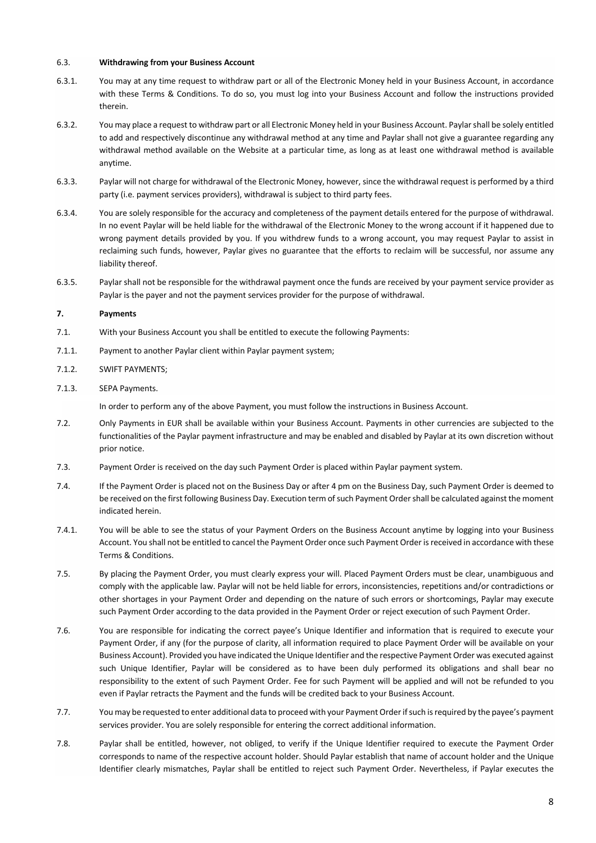#### 6.3. **Withdrawing from your Business Account**

- 6.3.1. You may at any time request to withdraw part or all of the Electronic Money held in your Business Account, in accordance with these Terms & Conditions. To do so, you must log into your Business Account and follow the instructions provided therein.
- 6.3.2. You may place a request to withdraw part or all Electronic Money held in your Business Account. Paylarshall be solely entitled to add and respectively discontinue any withdrawal method at any time and Paylar shall not give a guarantee regarding any withdrawal method available on the Website at a particular time, as long as at least one withdrawal method is available anytime.
- 6.3.3. Paylar will not charge for withdrawal of the Electronic Money, however, since the withdrawal request is performed by a third party (i.e. payment services providers), withdrawal is subject to third party fees.
- 6.3.4. You are solely responsible for the accuracy and completeness of the payment details entered for the purpose of withdrawal. In no event Paylar will be held liable for the withdrawal of the Electronic Money to the wrong account if it happened due to wrong payment details provided by you. If you withdrew funds to a wrong account, you may request Paylar to assist in reclaiming such funds, however, Paylar gives no guarantee that the efforts to reclaim will be successful, nor assume any liability thereof.
- 6.3.5. Paylar shall not be responsible for the withdrawal payment once the funds are received by your payment service provider as Paylar is the payer and not the payment services provider for the purpose of withdrawal.

### **7. Payments**

- 7.1. With your Business Account you shall be entitled to execute the following Payments:
- 7.1.1. Payment to another Paylar client within Paylar payment system;
- 7.1.2. SWIFT PAYMENTS;
- 7.1.3. SEPA Payments.

In order to perform any of the above Payment, you must follow the instructions in Business Account.

- 7.2. Only Payments in EUR shall be available within your Business Account. Payments in other currencies are subjected to the functionalities of the Paylar payment infrastructure and may be enabled and disabled by Paylar at its own discretion without prior notice.
- 7.3. Payment Order is received on the day such Payment Order is placed within Paylar payment system.
- 7.4. If the Payment Order is placed not on the Business Day or after 4 pm on the Business Day, such Payment Order is deemed to be received on the first following Business Day. Execution term of such Payment Order shall be calculated against the moment indicated herein.
- 7.4.1. You will be able to see the status of your Payment Orders on the Business Account anytime by logging into your Business Account. You shall not be entitled to cancel the Payment Order once such Payment Order is received in accordance with these Terms & Conditions.
- 7.5. By placing the Payment Order, you must clearly express your will. Placed Payment Orders must be clear, unambiguous and comply with the applicable law. Paylar will not be held liable for errors, inconsistencies, repetitions and/or contradictions or other shortages in your Payment Order and depending on the nature of such errors or shortcomings, Paylar may execute such Payment Order according to the data provided in the Payment Order or reject execution of such Payment Order.
- 7.6. You are responsible for indicating the correct payee's Unique Identifier and information that is required to execute your Payment Order, if any (for the purpose of clarity, all information required to place Payment Order will be available on your Business Account). Provided you have indicated the Unique Identifier and the respective Payment Order was executed against such Unique Identifier, Paylar will be considered as to have been duly performed its obligations and shall bear no responsibility to the extent of such Payment Order. Fee for such Payment will be applied and will not be refunded to you even if Paylar retracts the Payment and the funds will be credited back to your Business Account.
- 7.7. You may be requested to enter additional data to proceed with your Payment Order if such is required by the payee's payment services provider. You are solely responsible for entering the correct additional information.
- 7.8. Paylar shall be entitled, however, not obliged, to verify if the Unique Identifier required to execute the Payment Order corresponds to name of the respective account holder. Should Paylar establish that name of account holder and the Unique Identifier clearly mismatches, Paylar shall be entitled to reject such Payment Order. Nevertheless, if Paylar executes the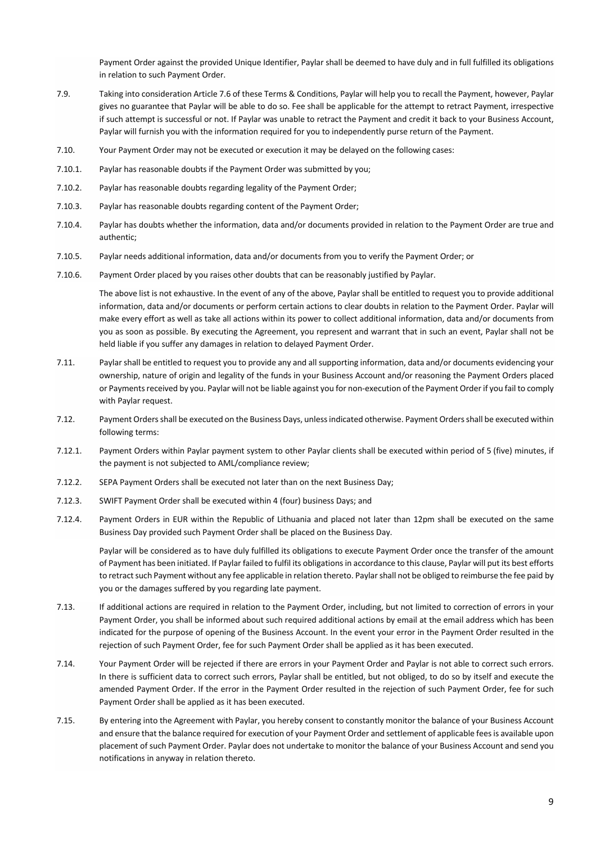Payment Order against the provided Unique Identifier, Paylar shall be deemed to have duly and in full fulfilled its obligations in relation to such Payment Order.

- 7.9. Taking into consideration Article 7.6 of these Terms & Conditions, Paylar will help you to recall the Payment, however, Paylar gives no guarantee that Paylar will be able to do so. Fee shall be applicable for the attempt to retract Payment, irrespective if such attempt is successful or not. If Paylar was unable to retract the Payment and credit it back to your Business Account, Paylar will furnish you with the information required for you to independently purse return of the Payment.
- 7.10. Your Payment Order may not be executed or execution it may be delayed on the following cases:
- 7.10.1. Paylar has reasonable doubts if the Payment Order was submitted by you;
- 7.10.2. Paylar has reasonable doubts regarding legality of the Payment Order;
- 7.10.3. Paylar has reasonable doubts regarding content of the Payment Order;
- 7.10.4. Paylar has doubts whether the information, data and/or documents provided in relation to the Payment Order are true and authentic;
- 7.10.5. Paylar needs additional information, data and/or documents from you to verify the Payment Order; or
- 7.10.6. Payment Order placed by you raises other doubts that can be reasonably justified by Paylar.

The above list is not exhaustive. In the event of any of the above, Paylar shall be entitled to request you to provide additional information, data and/or documents or perform certain actions to clear doubts in relation to the Payment Order. Paylar will make every effort as well as take all actions within its power to collect additional information, data and/or documents from you as soon as possible. By executing the Agreement, you represent and warrant that in such an event, Paylar shall not be held liable if you suffer any damages in relation to delayed Payment Order.

- 7.11. Paylarshall be entitled to request you to provide any and all supporting information, data and/or documents evidencing your ownership, nature of origin and legality of the funds in your Business Account and/or reasoning the Payment Orders placed or Payments received by you. Paylar will not be liable against you for non-execution of the Payment Order if you fail to comply with Paylar request.
- 7.12. Payment Orders shall be executed on the Business Days, unless indicated otherwise. Payment Orders shall be executed within following terms:
- 7.12.1. Payment Orders within Paylar payment system to other Paylar clients shall be executed within period of 5 (five) minutes, if the payment is not subjected to AML/compliance review;
- 7.12.2. SEPA Payment Orders shall be executed not later than on the next Business Day;
- 7.12.3. SWIFT Payment Order shall be executed within 4 (four) business Days; and
- 7.12.4. Payment Orders in EUR within the Republic of Lithuania and placed not later than 12pm shall be executed on the same Business Day provided such Payment Order shall be placed on the Business Day.

Paylar will be considered as to have duly fulfilled its obligations to execute Payment Order once the transfer of the amount of Payment has been initiated. If Paylar failed to fulfil its obligations in accordance to this clause, Paylar will put its best efforts to retract such Payment without any fee applicable in relation thereto. Paylarshall not be obliged to reimburse the fee paid by you or the damages suffered by you regarding late payment.

- 7.13. If additional actions are required in relation to the Payment Order, including, but not limited to correction of errors in your Payment Order, you shall be informed about such required additional actions by email at the email address which has been indicated for the purpose of opening of the Business Account. In the event your error in the Payment Order resulted in the rejection of such Payment Order, fee for such Payment Order shall be applied as it has been executed.
- 7.14. Your Payment Order will be rejected if there are errors in your Payment Order and Paylar is not able to correct such errors. In there is sufficient data to correct such errors, Paylar shall be entitled, but not obliged, to do so by itself and execute the amended Payment Order. If the error in the Payment Order resulted in the rejection of such Payment Order, fee for such Payment Order shall be applied as it has been executed.
- 7.15. By entering into the Agreement with Paylar, you hereby consent to constantly monitor the balance of your Business Account and ensure that the balance required for execution of your Payment Order and settlement of applicable feesis available upon placement of such Payment Order. Paylar does not undertake to monitor the balance of your Business Account and send you notifications in anyway in relation thereto.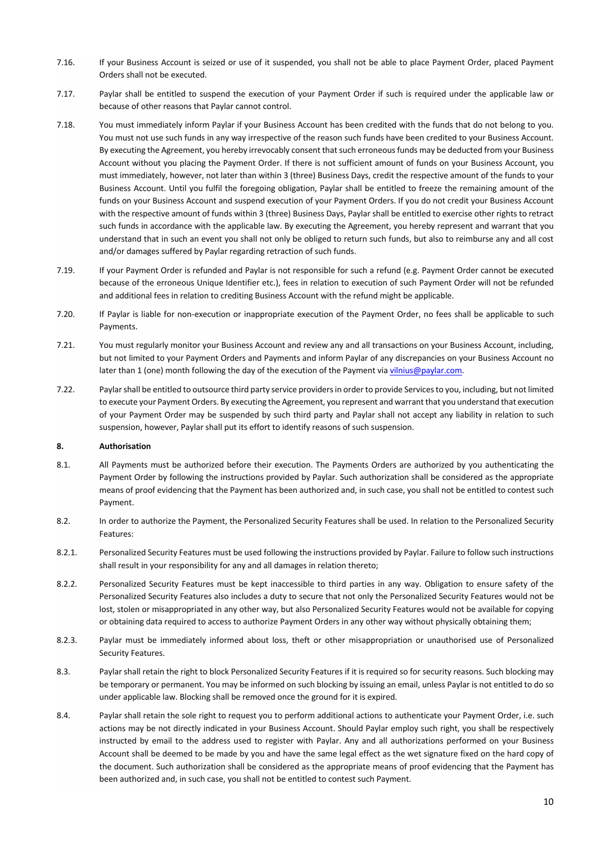- 7.16. If your Business Account is seized or use of it suspended, you shall not be able to place Payment Order, placed Payment Orders shall not be executed.
- 7.17. Paylar shall be entitled to suspend the execution of your Payment Order if such is required under the applicable law or because of other reasons that Paylar cannot control.
- 7.18. You must immediately inform Paylar if your Business Account has been credited with the funds that do not belong to you. You must not use such funds in any way irrespective of the reason such funds have been credited to your Business Account. By executing the Agreement, you hereby irrevocably consent that such erroneous funds may be deducted from your Business Account without you placing the Payment Order. If there is not sufficient amount of funds on your Business Account, you must immediately, however, not later than within 3 (three) Business Days, credit the respective amount of the funds to your Business Account. Until you fulfil the foregoing obligation, Paylar shall be entitled to freeze the remaining amount of the funds on your Business Account and suspend execution of your Payment Orders. If you do not credit your Business Account with the respective amount of funds within 3 (three) Business Days, Paylar shall be entitled to exercise other rights to retract such funds in accordance with the applicable law. By executing the Agreement, you hereby represent and warrant that you understand that in such an event you shall not only be obliged to return such funds, but also to reimburse any and all cost and/or damages suffered by Paylar regarding retraction of such funds.
- 7.19. If your Payment Order is refunded and Paylar is not responsible for such a refund (e.g. Payment Order cannot be executed because of the erroneous Unique Identifier etc.), fees in relation to execution of such Payment Order will not be refunded and additional fees in relation to crediting Business Account with the refund might be applicable.
- 7.20. If Paylar is liable for non-execution or inappropriate execution of the Payment Order, no fees shall be applicable to such Payments.
- 7.21. You must regularly monitor your Business Account and review any and all transactions on your Business Account, including, but not limited to your Payment Orders and Payments and inform Paylar of any discrepancies on your Business Account no later than 1 (one) month following the day of the execution of the Payment via vilnius@paylar.com.
- 7.22. Paylarshall be entitled to outsource third party service providers in order to provide Services to you, including, but not limited to execute your Payment Orders. By executing the Agreement, you represent and warrant that you understand that execution of your Payment Order may be suspended by such third party and Paylar shall not accept any liability in relation to such suspension, however, Paylar shall put its effort to identify reasons of such suspension.

#### **8. Authorisation**

- 8.1. All Payments must be authorized before their execution. The Payments Orders are authorized by you authenticating the Payment Order by following the instructions provided by Paylar. Such authorization shall be considered as the appropriate means of proof evidencing that the Payment has been authorized and, in such case, you shall not be entitled to contest such Payment.
- 8.2. In order to authorize the Payment, the Personalized Security Features shall be used. In relation to the Personalized Security Features:
- 8.2.1. Personalized Security Features must be used following the instructions provided by Paylar. Failure to follow such instructions shall result in your responsibility for any and all damages in relation thereto;
- 8.2.2. Personalized Security Features must be kept inaccessible to third parties in any way. Obligation to ensure safety of the Personalized Security Features also includes a duty to secure that not only the Personalized Security Features would not be lost, stolen or misappropriated in any other way, but also Personalized Security Features would not be available for copying or obtaining data required to access to authorize Payment Orders in any other way without physically obtaining them;
- 8.2.3. Paylar must be immediately informed about loss, theft or other misappropriation or unauthorised use of Personalized Security Features.
- 8.3. Paylar shall retain the right to block Personalized Security Features if it is required so for security reasons. Such blocking may be temporary or permanent. You may be informed on such blocking by issuing an email, unless Paylar is not entitled to do so under applicable law. Blocking shall be removed once the ground for it is expired.
- 8.4. Paylar shall retain the sole right to request you to perform additional actions to authenticate your Payment Order, i.e. such actions may be not directly indicated in your Business Account. Should Paylar employ such right, you shall be respectively instructed by email to the address used to register with Paylar. Any and all authorizations performed on your Business Account shall be deemed to be made by you and have the same legal effect as the wet signature fixed on the hard copy of the document. Such authorization shall be considered as the appropriate means of proof evidencing that the Payment has been authorized and, in such case, you shall not be entitled to contest such Payment.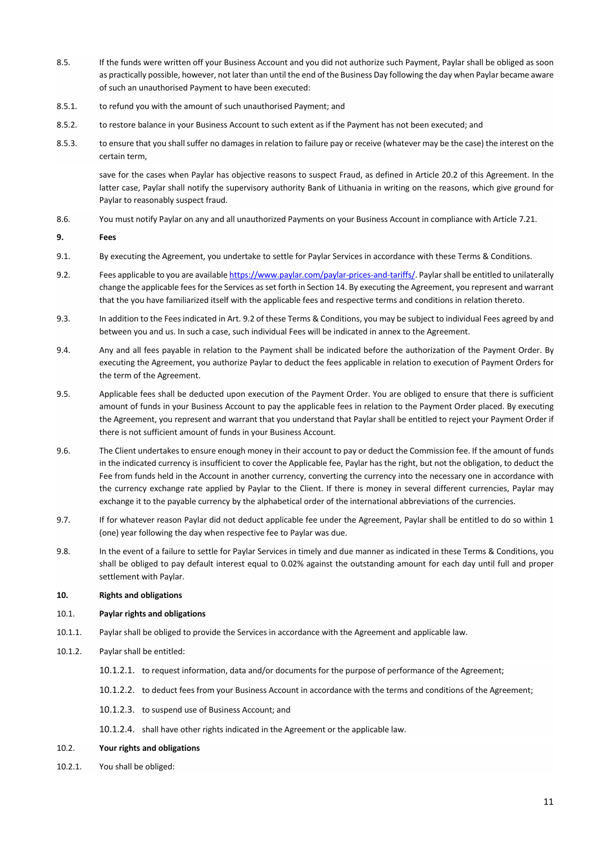- 8.5. If the funds were written off your Business Account and you did not authorize such Payment, Paylar shall be obliged as soon as practically possible, however, not later than until the end of the Business Day following the day when Paylar became aware of such an unauthorised Payment to have been executed:
- 8.5.1. to refund you with the amount of such unauthorised Payment; and
- 8.5.2. to restore balance in your Business Account to such extent as if the Payment has not been executed; and
- 8.5.3. to ensure that you shall suffer no damages in relation to failure pay or receive (whatever may be the case) the interest on the certain term,

save for the cases when Paylar has objective reasons to suspect Fraud, as defined in Article 20.2 of this Agreement. In the latter case, Paylar shall notify the supervisory authority Bank of Lithuania in writing on the reasons, which give ground for Paylar to reasonably suspect fraud.

8.6. You must notify Paylar on any and all unauthorized Payments on your Business Account in compliance with Article 7.21.

**9. Fees**

- 9.1. By executing the Agreement, you undertake to settle for Paylar Services in accordance with these Terms & Conditions.
- 9.2. Fees applicable to you are available https://www.paylar.com/paylar-prices-and-tariffs/. Paylarshall be entitled to unilaterally change the applicable fees for the Services as set forth in Section 14. By executing the Agreement, you represent and warrant that the you have familiarized itself with the applicable fees and respective terms and conditions in relation thereto.
- 9.3. In addition to the Fees indicated in Art. 9.2 of these Terms & Conditions, you may be subject to individual Fees agreed by and between you and us. In such a case, such individual Fees will be indicated in annex to the Agreement.
- 9.4. Any and all fees payable in relation to the Payment shall be indicated before the authorization of the Payment Order. By executing the Agreement, you authorize Paylar to deduct the fees applicable in relation to execution of Payment Orders for the term of the Agreement.
- 9.5. Applicable fees shall be deducted upon execution of the Payment Order. You are obliged to ensure that there is sufficient amount of funds in your Business Account to pay the applicable fees in relation to the Payment Order placed. By executing the Agreement, you represent and warrant that you understand that Paylar shall be entitled to reject your Payment Order if there is not sufficient amount of funds in your Business Account.
- 9.6. The Client undertakes to ensure enough money in their account to pay or deduct the Commission fee. If the amount of funds in the indicated currency is insufficient to cover the Applicable fee, Paylar has the right, but not the obligation, to deduct the Fee from funds held in the Account in another currency, converting the currency into the necessary one in accordance with the currency exchange rate applied by Paylar to the Client. If there is money in several different currencies, Paylar may exchange it to the payable currency by the alphabetical order of the international abbreviations of the currencies.
- 9.7. If for whatever reason Paylar did not deduct applicable fee under the Agreement, Paylar shall be entitled to do so within 1 (one) year following the day when respective fee to Paylar was due.
- 9.8. In the event of a failure to settle for Paylar Services in timely and due manner as indicated in these Terms & Conditions, you shall be obliged to pay default interest equal to 0.02% against the outstanding amount for each day until full and proper settlement with Paylar.
- **10. Rights and obligations**

#### 10.1. **Paylar rights and obligations**

- 10.1.1. Paylar shall be obliged to provide the Services in accordance with the Agreement and applicable law.
- 10.1.2. Paylar shall be entitled:
	- 10.1.2.1. to request information, data and/or documents for the purpose of performance of the Agreement;
	- 10.1.2.2. to deduct fees from your Business Account in accordance with the terms and conditions of the Agreement;
	- 10.1.2.3. to suspend use of Business Account; and
	- 10.1.2.4. shall have other rights indicated in the Agreement or the applicable law.

#### 10.2. **Your rights and obligations**

10.2.1. You shall be obliged: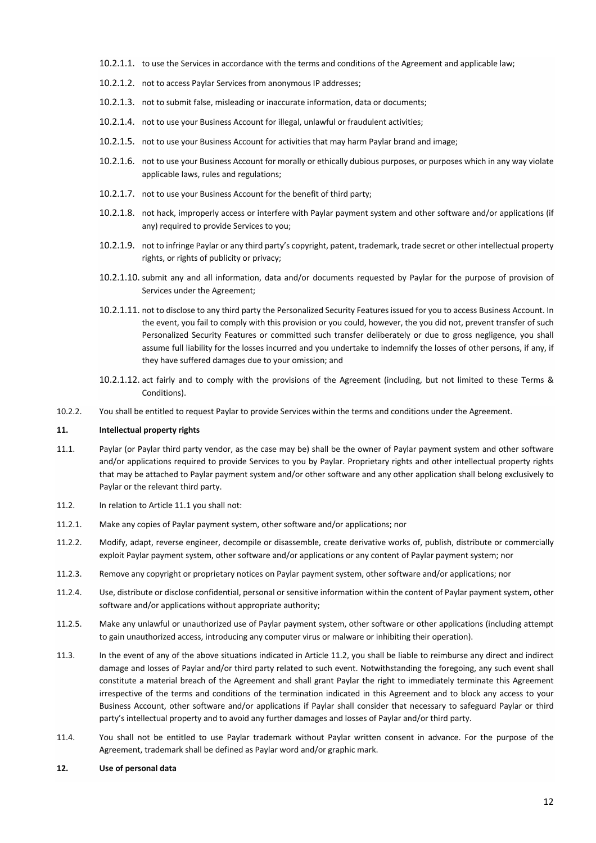- 10.2.1.1. to use the Services in accordance with the terms and conditions of the Agreement and applicable law;
- 10.2.1.2. not to access Paylar Services from anonymous IP addresses;
- 10.2.1.3. not to submit false, misleading or inaccurate information, data or documents;
- 10.2.1.4. not to use your Business Account for illegal, unlawful or fraudulent activities;
- 10.2.1.5. not to use your Business Account for activities that may harm Paylar brand and image;
- 10.2.1.6. not to use your Business Account for morally or ethically dubious purposes, or purposes which in any way violate applicable laws, rules and regulations;
- 10.2.1.7. not to use your Business Account for the benefit of third party;
- 10.2.1.8. not hack, improperly access or interfere with Paylar payment system and other software and/or applications (if any) required to provide Services to you;
- 10.2.1.9. not to infringe Paylar or any third party's copyright, patent, trademark, trade secret or other intellectual property rights, or rights of publicity or privacy;
- 10.2.1.10. submit any and all information, data and/or documents requested by Paylar for the purpose of provision of Services under the Agreement;
- 10.2.1.11. not to disclose to any third party the Personalized Security Features issued for you to access Business Account. In the event, you fail to comply with this provision or you could, however, the you did not, prevent transfer of such Personalized Security Features or committed such transfer deliberately or due to gross negligence, you shall assume full liability for the losses incurred and you undertake to indemnify the losses of other persons, if any, if they have suffered damages due to your omission; and
- 10.2.1.12. act fairly and to comply with the provisions of the Agreement (including, but not limited to these Terms & Conditions).
- 10.2.2. You shall be entitled to request Paylar to provide Services within the terms and conditions under the Agreement.

#### **11. Intellectual property rights**

- 11.1. Paylar (or Paylar third party vendor, as the case may be) shall be the owner of Paylar payment system and other software and/or applications required to provide Services to you by Paylar. Proprietary rights and other intellectual property rights that may be attached to Paylar payment system and/or other software and any other application shall belong exclusively to Paylar or the relevant third party.
- 11.2. In relation to Article 11.1 you shall not:
- 11.2.1. Make any copies of Paylar payment system, other software and/or applications; nor
- 11.2.2. Modify, adapt, reverse engineer, decompile or disassemble, create derivative works of, publish, distribute or commercially exploit Paylar payment system, other software and/or applications or any content of Paylar payment system; nor
- 11.2.3. Remove any copyright or proprietary notices on Paylar payment system, other software and/or applications; nor
- 11.2.4. Use, distribute or disclose confidential, personal or sensitive information within the content of Paylar payment system, other software and/or applications without appropriate authority;
- 11.2.5. Make any unlawful or unauthorized use of Paylar payment system, other software or other applications (including attempt to gain unauthorized access, introducing any computer virus or malware or inhibiting their operation).
- 11.3. In the event of any of the above situations indicated in Article 11.2, you shall be liable to reimburse any direct and indirect damage and losses of Paylar and/or third party related to such event. Notwithstanding the foregoing, any such event shall constitute a material breach of the Agreement and shall grant Paylar the right to immediately terminate this Agreement irrespective of the terms and conditions of the termination indicated in this Agreement and to block any access to your Business Account, other software and/or applications if Paylar shall consider that necessary to safeguard Paylar or third party's intellectual property and to avoid any further damages and losses of Paylar and/or third party.
- 11.4. You shall not be entitled to use Paylar trademark without Paylar written consent in advance. For the purpose of the Agreement, trademark shall be defined as Paylar word and/or graphic mark.

#### **12. Use of personal data**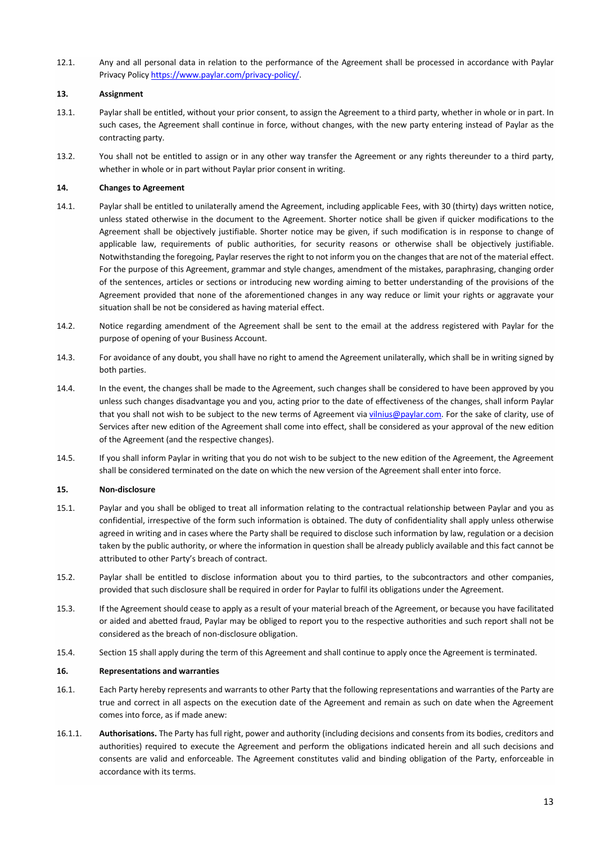12.1. Any and all personal data in relation to the performance of the Agreement shall be processed in accordance with Paylar Privacy Policy https://www.paylar.com/privacy-policy/.

## **13. Assignment**

- 13.1. Paylar shall be entitled, without your prior consent, to assign the Agreement to a third party, whether in whole or in part. In such cases, the Agreement shall continue in force, without changes, with the new party entering instead of Paylar as the contracting party.
- 13.2. You shall not be entitled to assign or in any other way transfer the Agreement or any rights thereunder to a third party, whether in whole or in part without Paylar prior consent in writing.

## **14. Changes to Agreement**

- 14.1. Paylar shall be entitled to unilaterally amend the Agreement, including applicable Fees, with 30 (thirty) days written notice, unless stated otherwise in the document to the Agreement. Shorter notice shall be given if quicker modifications to the Agreement shall be objectively justifiable. Shorter notice may be given, if such modification is in response to change of applicable law, requirements of public authorities, for security reasons or otherwise shall be objectively justifiable. Notwithstanding the foregoing, Paylar reserves the right to not inform you on the changes that are not of the material effect. For the purpose of this Agreement, grammar and style changes, amendment of the mistakes, paraphrasing, changing order of the sentences, articles or sections or introducing new wording aiming to better understanding of the provisions of the Agreement provided that none of the aforementioned changes in any way reduce or limit your rights or aggravate your situation shall be not be considered as having material effect.
- 14.2. Notice regarding amendment of the Agreement shall be sent to the email at the address registered with Paylar for the purpose of opening of your Business Account.
- 14.3. For avoidance of any doubt, you shall have no right to amend the Agreement unilaterally, which shall be in writing signed by both parties.
- 14.4. In the event, the changes shall be made to the Agreement, such changes shall be considered to have been approved by you unless such changes disadvantage you and you, acting prior to the date of effectiveness of the changes, shall inform Paylar that you shall not wish to be subject to the new terms of Agreement via vilnius@paylar.com. For the sake of clarity, use of Services after new edition of the Agreement shall come into effect, shall be considered as your approval of the new edition of the Agreement (and the respective changes).
- 14.5. If you shall inform Paylar in writing that you do not wish to be subject to the new edition of the Agreement, the Agreement shall be considered terminated on the date on which the new version of the Agreement shall enter into force.

## **15. Non-disclosure**

- 15.1. Paylar and you shall be obliged to treat all information relating to the contractual relationship between Paylar and you as confidential, irrespective of the form such information is obtained. The duty of confidentiality shall apply unless otherwise agreed in writing and in cases where the Party shall be required to disclose such information by law, regulation or a decision taken by the public authority, or where the information in question shall be already publicly available and this fact cannot be attributed to other Party's breach of contract.
- 15.2. Paylar shall be entitled to disclose information about you to third parties, to the subcontractors and other companies, provided that such disclosure shall be required in order for Paylar to fulfil its obligations under the Agreement.
- 15.3. If the Agreement should cease to apply as a result of your material breach of the Agreement, or because you have facilitated or aided and abetted fraud, Paylar may be obliged to report you to the respective authorities and such report shall not be considered as the breach of non-disclosure obligation.
- 15.4. Section 15 shall apply during the term of this Agreement and shall continue to apply once the Agreement is terminated.

## **16. Representations and warranties**

- 16.1. Each Party hereby represents and warrants to other Party that the following representations and warranties of the Party are true and correct in all aspects on the execution date of the Agreement and remain as such on date when the Agreement comes into force, as if made anew:
- 16.1.1. **Authorisations.** The Party has full right, power and authority (including decisions and consents from its bodies, creditors and authorities) required to execute the Agreement and perform the obligations indicated herein and all such decisions and consents are valid and enforceable. The Agreement constitutes valid and binding obligation of the Party, enforceable in accordance with its terms.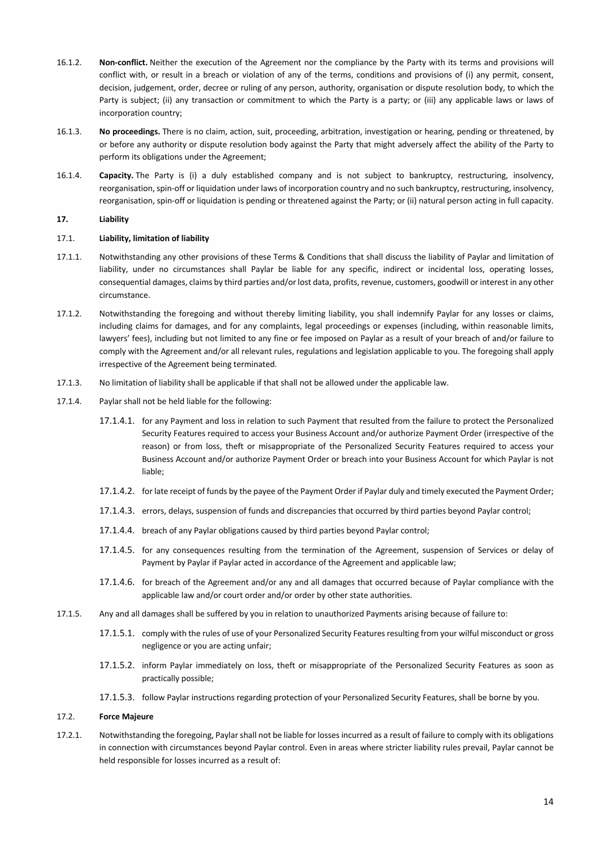- 16.1.2. **Non-conflict.** Neither the execution of the Agreement nor the compliance by the Party with its terms and provisions will conflict with, or result in a breach or violation of any of the terms, conditions and provisions of (i) any permit, consent, decision, judgement, order, decree or ruling of any person, authority, organisation or dispute resolution body, to which the Party is subject; (ii) any transaction or commitment to which the Party is a party; or (iii) any applicable laws or laws of incorporation country;
- 16.1.3. **No proceedings.** There is no claim, action, suit, proceeding, arbitration, investigation or hearing, pending or threatened, by or before any authority or dispute resolution body against the Party that might adversely affect the ability of the Party to perform its obligations under the Agreement;
- 16.1.4. **Capacity.** The Party is (i) a duly established company and is not subject to bankruptcy, restructuring, insolvency, reorganisation, spin-off or liquidation under laws of incorporation country and no such bankruptcy, restructuring, insolvency, reorganisation, spin-off or liquidation is pending or threatened against the Party; or (ii) natural person acting in full capacity.

### **17. Liability**

### 17.1. **Liability, limitation of liability**

- 17.1.1. Notwithstanding any other provisions of these Terms & Conditions that shall discuss the liability of Paylar and limitation of liability, under no circumstances shall Paylar be liable for any specific, indirect or incidental loss, operating losses, consequential damages, claims by third parties and/or lost data, profits, revenue, customers, goodwill or interest in any other circumstance.
- 17.1.2. Notwithstanding the foregoing and without thereby limiting liability, you shall indemnify Paylar for any losses or claims, including claims for damages, and for any complaints, legal proceedings or expenses (including, within reasonable limits, lawyers' fees), including but not limited to any fine or fee imposed on Paylar as a result of your breach of and/or failure to comply with the Agreement and/or all relevant rules, regulations and legislation applicable to you. The foregoing shall apply irrespective of the Agreement being terminated.
- 17.1.3. No limitation of liability shall be applicable if that shall not be allowed under the applicable law.
- 17.1.4. Paylar shall not be held liable for the following:
	- 17.1.4.1. for any Payment and loss in relation to such Payment that resulted from the failure to protect the Personalized Security Features required to access your Business Account and/or authorize Payment Order (irrespective of the reason) or from loss, theft or misappropriate of the Personalized Security Features required to access your Business Account and/or authorize Payment Order or breach into your Business Account for which Paylar is not liable;
	- 17.1.4.2. for late receipt of funds by the payee of the Payment Order if Paylar duly and timely executed the Payment Order;
	- 17.1.4.3. errors, delays, suspension of funds and discrepancies that occurred by third parties beyond Paylar control;
	- 17.1.4.4. breach of any Paylar obligations caused by third parties beyond Paylar control;
	- 17.1.4.5. for any consequences resulting from the termination of the Agreement, suspension of Services or delay of Payment by Paylar if Paylar acted in accordance of the Agreement and applicable law;
	- 17.1.4.6. for breach of the Agreement and/or any and all damages that occurred because of Paylar compliance with the applicable law and/or court order and/or order by other state authorities.
- 17.1.5. Any and all damages shall be suffered by you in relation to unauthorized Payments arising because of failure to:
	- 17.1.5.1. comply with the rules of use of your Personalized Security Features resulting from your wilful misconduct or gross negligence or you are acting unfair;
	- 17.1.5.2. inform Paylar immediately on loss, theft or misappropriate of the Personalized Security Features as soon as practically possible;
	- 17.1.5.3. follow Paylar instructions regarding protection of your Personalized Security Features, shall be borne by you.

#### 17.2. **Force Majeure**

17.2.1. Notwithstanding the foregoing, Paylarshall not be liable for losses incurred as a result of failure to comply with its obligations in connection with circumstances beyond Paylar control. Even in areas where stricter liability rules prevail, Paylar cannot be held responsible for losses incurred as a result of: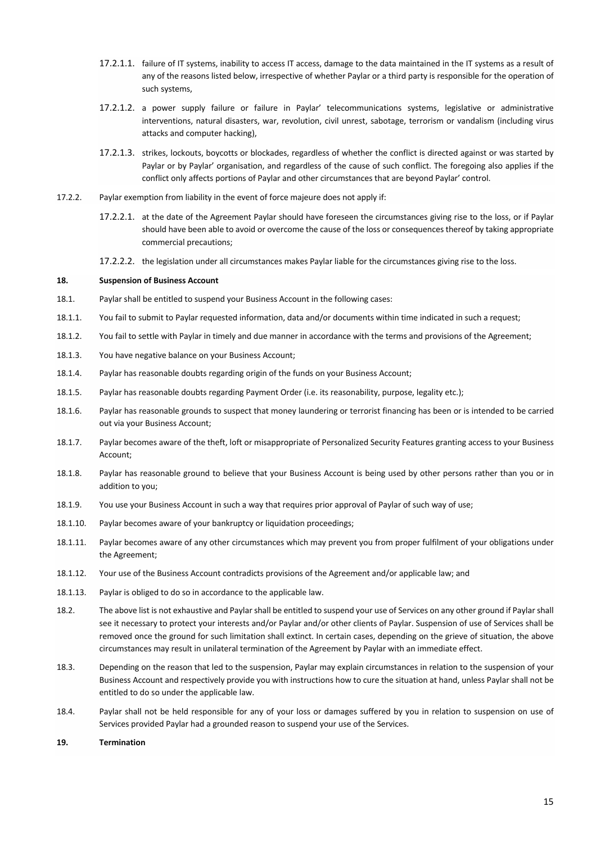- 17.2.1.1. failure of IT systems, inability to access IT access, damage to the data maintained in the IT systems as a result of any of the reasons listed below, irrespective of whether Paylar or a third party is responsible for the operation of such systems,
- 17.2.1.2. a power supply failure or failure in Paylar' telecommunications systems, legislative or administrative interventions, natural disasters, war, revolution, civil unrest, sabotage, terrorism or vandalism (including virus attacks and computer hacking),
- 17.2.1.3. strikes, lockouts, boycotts or blockades, regardless of whether the conflict is directed against or was started by Paylar or by Paylar' organisation, and regardless of the cause of such conflict. The foregoing also applies if the conflict only affects portions of Paylar and other circumstances that are beyond Paylar' control.
- 17.2.2. Paylar exemption from liability in the event of force majeure does not apply if:
	- 17.2.2.1. at the date of the Agreement Paylar should have foreseen the circumstances giving rise to the loss, or if Paylar should have been able to avoid or overcome the cause of the loss or consequences thereof by taking appropriate commercial precautions;
	- 17.2.2.2. the legislation under all circumstances makes Paylar liable for the circumstances giving rise to the loss.

#### **18. Suspension of Business Account**

- 18.1. Paylar shall be entitled to suspend your Business Account in the following cases:
- 18.1.1. You fail to submit to Paylar requested information, data and/or documents within time indicated in such a request;
- 18.1.2. You fail to settle with Paylar in timely and due manner in accordance with the terms and provisions of the Agreement;
- 18.1.3. You have negative balance on your Business Account;
- 18.1.4. Paylar has reasonable doubts regarding origin of the funds on your Business Account;
- 18.1.5. Paylar has reasonable doubts regarding Payment Order (i.e. its reasonability, purpose, legality etc.);
- 18.1.6. Paylar has reasonable grounds to suspect that money laundering or terrorist financing has been or is intended to be carried out via your Business Account;
- 18.1.7. Paylar becomes aware of the theft, loft or misappropriate of Personalized Security Features granting access to your Business Account;
- 18.1.8. Paylar has reasonable ground to believe that your Business Account is being used by other persons rather than you or in addition to you;
- 18.1.9. You use your Business Account in such a way that requires prior approval of Paylar of such way of use;
- 18.1.10. Paylar becomes aware of your bankruptcy or liquidation proceedings;
- 18.1.11. Paylar becomes aware of any other circumstances which may prevent you from proper fulfilment of your obligations under the Agreement;
- 18.1.12. Your use of the Business Account contradicts provisions of the Agreement and/or applicable law; and
- 18.1.13. Paylar is obliged to do so in accordance to the applicable law.
- 18.2. The above list is not exhaustive and Paylarshall be entitled to suspend your use of Services on any other ground if Paylarshall see it necessary to protect your interests and/or Paylar and/or other clients of Paylar. Suspension of use of Services shall be removed once the ground for such limitation shall extinct. In certain cases, depending on the grieve of situation, the above circumstances may result in unilateral termination of the Agreement by Paylar with an immediate effect.
- 18.3. Depending on the reason that led to the suspension, Paylar may explain circumstances in relation to the suspension of your Business Account and respectively provide you with instructions how to cure the situation at hand, unless Paylar shall not be entitled to do so under the applicable law.
- 18.4. Paylar shall not be held responsible for any of your loss or damages suffered by you in relation to suspension on use of Services provided Paylar had a grounded reason to suspend your use of the Services.
- **19. Termination**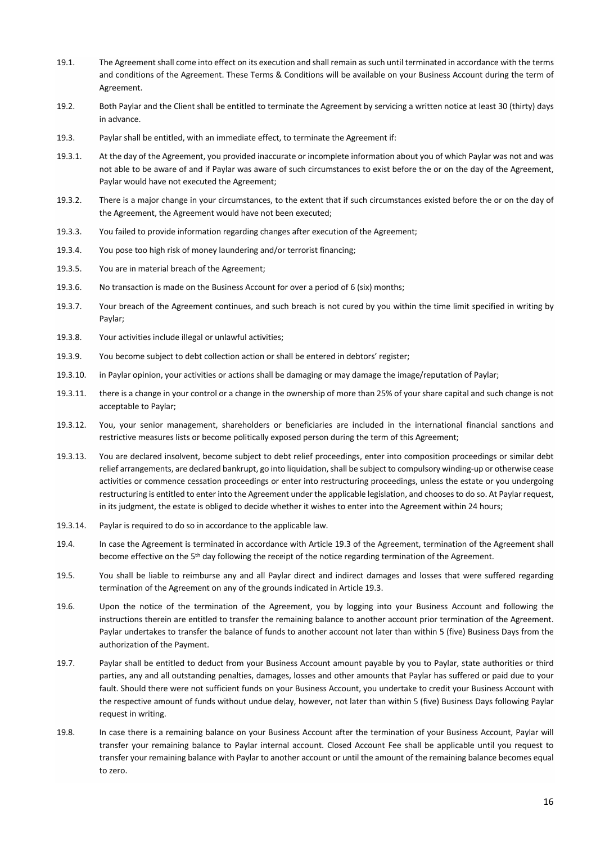- 19.1. The Agreement shall come into effect on its execution and shall remain as such until terminated in accordance with the terms and conditions of the Agreement. These Terms & Conditions will be available on your Business Account during the term of Agreement.
- 19.2. Both Paylar and the Client shall be entitled to terminate the Agreement by servicing a written notice at least 30 (thirty) days in advance.
- 19.3. Paylar shall be entitled, with an immediate effect, to terminate the Agreement if:
- 19.3.1. At the day of the Agreement, you provided inaccurate or incomplete information about you of which Paylar was not and was not able to be aware of and if Paylar was aware of such circumstances to exist before the or on the day of the Agreement, Paylar would have not executed the Agreement;
- 19.3.2. There is a major change in your circumstances, to the extent that if such circumstances existed before the or on the day of the Agreement, the Agreement would have not been executed;
- 19.3.3. You failed to provide information regarding changes after execution of the Agreement;
- 19.3.4. You pose too high risk of money laundering and/or terrorist financing;
- 19.3.5. You are in material breach of the Agreement;
- 19.3.6. No transaction is made on the Business Account for over a period of 6 (six) months;
- 19.3.7. Your breach of the Agreement continues, and such breach is not cured by you within the time limit specified in writing by Paylar;
- 19.3.8. Your activities include illegal or unlawful activities;
- 19.3.9. You become subject to debt collection action or shall be entered in debtors' register;
- 19.3.10. in Paylar opinion, your activities or actions shall be damaging or may damage the image/reputation of Paylar;
- 19.3.11. there is a change in your control or a change in the ownership of more than 25% of your share capital and such change is not acceptable to Paylar;
- 19.3.12. You, your senior management, shareholders or beneficiaries are included in the international financial sanctions and restrictive measures lists or become politically exposed person during the term of this Agreement;
- 19.3.13. You are declared insolvent, become subject to debt relief proceedings, enter into composition proceedings or similar debt relief arrangements, are declared bankrupt, go into liquidation, shall be subject to compulsory winding-up or otherwise cease activities or commence cessation proceedings or enter into restructuring proceedings, unless the estate or you undergoing restructuring is entitled to enter into the Agreement under the applicable legislation, and chooses to do so. At Paylar request, in its judgment, the estate is obliged to decide whether it wishes to enter into the Agreement within 24 hours;
- 19.3.14. Paylar is required to do so in accordance to the applicable law.
- 19.4. In case the Agreement is terminated in accordance with Article 19.3 of the Agreement, termination of the Agreement shall become effective on the 5<sup>th</sup> day following the receipt of the notice regarding termination of the Agreement.
- 19.5. You shall be liable to reimburse any and all Paylar direct and indirect damages and losses that were suffered regarding termination of the Agreement on any of the grounds indicated in Article 19.3.
- 19.6. Upon the notice of the termination of the Agreement, you by logging into your Business Account and following the instructions therein are entitled to transfer the remaining balance to another account prior termination of the Agreement. Paylar undertakes to transfer the balance of funds to another account not later than within 5 (five) Business Days from the authorization of the Payment.
- 19.7. Paylar shall be entitled to deduct from your Business Account amount payable by you to Paylar, state authorities or third parties, any and all outstanding penalties, damages, losses and other amounts that Paylar has suffered or paid due to your fault. Should there were not sufficient funds on your Business Account, you undertake to credit your Business Account with the respective amount of funds without undue delay, however, not later than within 5 (five) Business Days following Paylar request in writing.
- 19.8. In case there is a remaining balance on your Business Account after the termination of your Business Account, Paylar will transfer your remaining balance to Paylar internal account. Closed Account Fee shall be applicable until you request to transfer your remaining balance with Paylar to another account or until the amount of the remaining balance becomes equal to zero.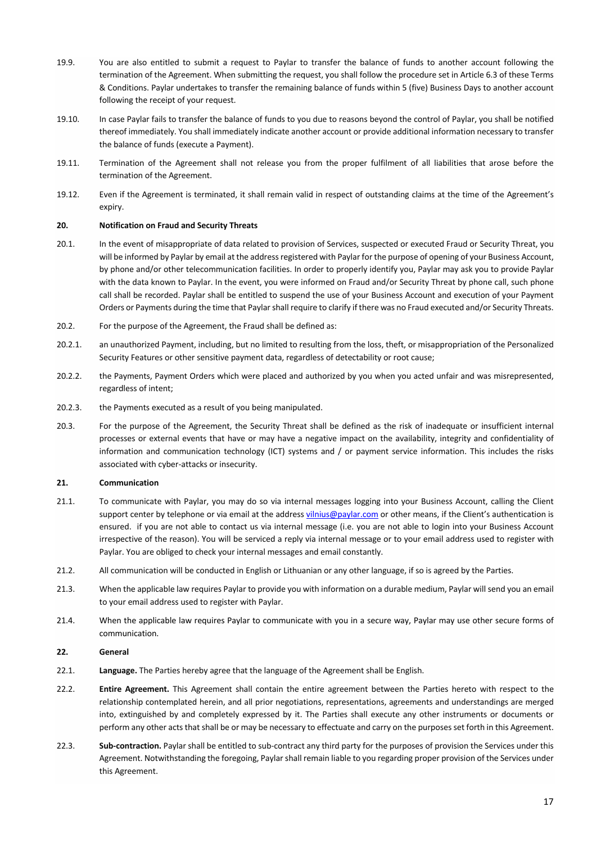- 19.9. You are also entitled to submit a request to Paylar to transfer the balance of funds to another account following the termination of the Agreement. When submitting the request, you shall follow the procedure set in Article 6.3 of these Terms & Conditions. Paylar undertakes to transfer the remaining balance of funds within 5 (five) Business Days to another account following the receipt of your request.
- 19.10. In case Paylar fails to transfer the balance of funds to you due to reasons beyond the control of Paylar, you shall be notified thereof immediately. You shall immediately indicate another account or provide additional information necessary to transfer the balance of funds (execute a Payment).
- 19.11. Termination of the Agreement shall not release you from the proper fulfilment of all liabilities that arose before the termination of the Agreement.
- 19.12. Even if the Agreement is terminated, it shall remain valid in respect of outstanding claims at the time of the Agreement's expiry.

### **20. Notification on Fraud and Security Threats**

- 20.1. In the event of misappropriate of data related to provision of Services, suspected or executed Fraud or Security Threat, you will be informed by Paylar by email at the address registered with Paylar for the purpose of opening of your Business Account, by phone and/or other telecommunication facilities. In order to properly identify you, Paylar may ask you to provide Paylar with the data known to Paylar. In the event, you were informed on Fraud and/or Security Threat by phone call, such phone call shall be recorded. Paylar shall be entitled to suspend the use of your Business Account and execution of your Payment Orders or Payments during the time that Paylarshall require to clarify if there was no Fraud executed and/or Security Threats.
- 20.2. For the purpose of the Agreement, the Fraud shall be defined as:
- 20.2.1. an unauthorized Payment, including, but no limited to resulting from the loss, theft, or misappropriation of the Personalized Security Features or other sensitive payment data, regardless of detectability or root cause;
- 20.2.2. the Payments, Payment Orders which were placed and authorized by you when you acted unfair and was misrepresented, regardless of intent;
- 20.2.3. the Payments executed as a result of you being manipulated.
- 20.3. For the purpose of the Agreement, the Security Threat shall be defined as the risk of inadequate or insufficient internal processes or external events that have or may have a negative impact on the availability, integrity and confidentiality of information and communication technology (ICT) systems and / or payment service information. This includes the risks associated with cyber-attacks or insecurity.

#### **21. Communication**

- 21.1. To communicate with Paylar, you may do so via internal messages logging into your Business Account, calling the Client support center by telephone or via email at the address vilnius@paylar.com or other means, if the Client's authentication is ensured. if you are not able to contact us via internal message (i.e. you are not able to login into your Business Account irrespective of the reason). You will be serviced a reply via internal message or to your email address used to register with Paylar. You are obliged to check your internal messages and email constantly.
- 21.2. All communication will be conducted in English or Lithuanian or any other language, if so is agreed by the Parties.
- 21.3. When the applicable law requires Paylar to provide you with information on a durable medium, Paylar will send you an email to your email address used to register with Paylar.
- 21.4. When the applicable law requires Paylar to communicate with you in a secure way, Paylar may use other secure forms of communication.
- **22. General**
- 22.1. **Language.** The Parties hereby agree that the language of the Agreement shall be English.
- 22.2. **Entire Agreement.** This Agreement shall contain the entire agreement between the Parties hereto with respect to the relationship contemplated herein, and all prior negotiations, representations, agreements and understandings are merged into, extinguished by and completely expressed by it. The Parties shall execute any other instruments or documents or perform any other acts that shall be or may be necessary to effectuate and carry on the purposes set forth in this Agreement.
- 22.3. **Sub-contraction.** Paylar shall be entitled to sub-contract any third party for the purposes of provision the Services under this Agreement. Notwithstanding the foregoing, Paylar shall remain liable to you regarding proper provision of the Services under this Agreement.